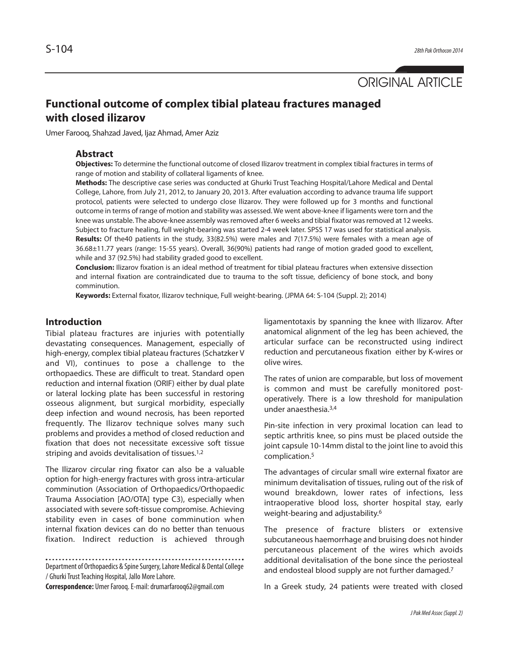

# **Functional outcome of complex tibial plateau fractures managed with closed ilizarov**

Umer Farooq, Shahzad Javed, Ijaz Ahmad, Amer Aziz

#### **Abstract**

**Objectives:** To determine the functional outcome of closed Ilizarov treatment in complex tibial fractures in terms of range of motion and stability of collateral ligaments of knee.

**Methods:** The descriptive case series was conducted at Ghurki Trust Teaching Hospital/Lahore Medical and Dental College, Lahore, from July 21, 2012, to January 20, 2013. After evaluation according to advance trauma life support protocol, patients were selected to undergo close Ilizarov. They were followed up for 3 months and functional outcome in terms of range of motion and stability was assessed. We went above-knee if ligaments were torn and the knee was unstable. The above-knee assembly was removed after 6 weeks and tibial fixator was removed at 12 weeks. Subject to fracture healing, full weight-bearing was started 2-4 week later. SPSS 17 was used for statistical analysis. **Results:** Of the40 patients in the study, 33(82.5%) were males and 7(17.5%) were females with a mean age of 36.68±11.77 years (range: 15-55 years). Overall, 36(90%) patients had range of motion graded good to excellent, while and 37 (92.5%) had stability graded good to excellent.

**Conclusion:** Ilizarov fixation is an ideal method of treatment for tibial plateau fractures when extensive dissection and internal fixation are contraindicated due to trauma to the soft tissue, deficiency of bone stock, and bony comminution.

**Keywords:** External fixator, Ilizarov technique, Full weight-bearing. (JPMA 64: S-104 (Suppl. 2); 2014)

# **Introduction**

Tibial plateau fractures are injuries with potentially devastating consequences. Management, especially of high-energy, complex tibial plateau fractures (Schatzker V and VI), continues to pose a challenge to the orthopaedics. These are difficult to treat. Standard open reduction and internal fixation (ORIF) either by dual plate or lateral locking plate has been successful in restoring osseous alignment, but surgical morbidity, especially deep infection and wound necrosis, has been reported frequently. The Ilizarov technique solves many such problems and provides a method of closed reduction and fixation that does not necessitate excessive soft tissue striping and avoids devitalisation of tissues.<sup>1,2</sup>

The Ilizarov circular ring fixator can also be a valuable option for high-energy fractures with gross intra-articular comminution (Association of Orthopaedics/Orthopaedic Trauma Association [AO/OTA] type C3), especially when associated with severe soft-tissue compromise. Achieving stability even in cases of bone comminution when internal fixation devices can do no better than tenuous fixation. Indirect reduction is achieved through

Department of Orthopaedics & Spine Surgery, Lahore Medical & Dental College / Ghurki Trust Teaching Hospital, Jallo More Lahore.

**Correspondence:** Umer Farooq. E-mail: drumarfarooq62@gmail.com

ligamentotaxis by spanning the knee with Ilizarov. After anatomical alignment of the leg has been achieved, the articular surface can be reconstructed using indirect reduction and percutaneous fixation either by K-wires or olive wires.

The rates of union are comparable, but loss of movement is common and must be carefully monitored postoperatively. There is a low threshold for manipulation under anaesthesia.3,4

Pin-site infection in very proximal location can lead to septic arthritis knee, so pins must be placed outside the joint capsule 10-14mm distal to the joint line to avoid this complication.<sup>5</sup>

The advantages of circular small wire external fixator are minimum devitalisation of tissues, ruling out of the risk of wound breakdown, lower rates of infections, less intraoperative blood loss, shorter hospital stay, early weight-bearing and adjustability.<sup>6</sup>

The presence of fracture blisters or extensive subcutaneous haemorrhage and bruising does not hinder percutaneous placement of the wires which avoids additional devitalisation of the bone since the periosteal and endosteal blood supply are not further damaged.<sup>7</sup>

In a Greek study, 24 patients were treated with closed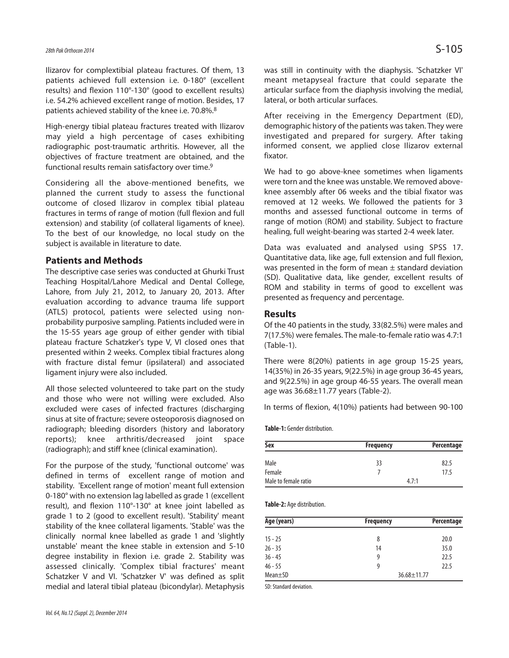Ilizarov for complextibial plateau fractures. Of them, 13 patients achieved full extension i.e. 0-180° (excellent results) and flexion 110°-130° (good to excellent results) i.e. 54.2% achieved excellent range of motion. Besides, 17 patients achieved stability of the knee i.e. 70.8%.<sup>8</sup>

High-energy tibial plateau fractures treated with Ilizarov may yield a high percentage of cases exhibiting radiographic post-traumatic arthritis. However, all the objectives of fracture treatment are obtained, and the functional results remain satisfactory over time.<sup>9</sup>

Considering all the above-mentioned benefits, we planned the current study to assess the functional outcome of closed Ilizarov in complex tibial plateau fractures in terms of range of motion (full flexion and full extension) and stability (of collateral ligaments of knee). To the best of our knowledge, no local study on the subject is available in literature to date.

# **Patients and Methods**

The descriptive case series was conducted at Ghurki Trust Teaching Hospital/Lahore Medical and Dental College, Lahore, from July 21, 2012, to January 20, 2013. After evaluation according to advance trauma life support (ATLS) protocol, patients were selected using nonprobability purposive sampling. Patients included were in the 15-55 years age group of either gender with tibial plateau fracture Schatzker's type V, VI closed ones that presented within 2 weeks. Complex tibial fractures along with fracture distal femur (ipsilateral) and associated ligament injury were also included.

All those selected volunteered to take part on the study and those who were not willing were excluded. Also excluded were cases of infected fractures (discharging sinus at site of fracture; severe osteoporosis diagnosed on radiograph; bleeding disorders (history and laboratory reports); knee arthritis/decreased joint space (radiograph); and stiff knee (clinical examination).

For the purpose of the study, 'functional outcome' was defined in terms of excellent range of motion and stability. 'Excellent range of motion' meant full extension 0-180° with no extension lag labelled as grade 1 (excellent result), and flexion 110°-130° at knee joint labelled as grade 1 to 2 (good to excellent result). 'Stability' meant stability of the knee collateral ligaments. 'Stable' was the clinically normal knee labelled as grade 1 and 'slightly unstable' meant the knee stable in extension and 5-10 degree instability in flexion i.e. grade 2. Stability was assessed clinically. 'Complex tibial fractures' meant Schatzker V and VI. 'Schatzker V' was defined as split medial and lateral tibial plateau (bicondylar). Metaphysis

was still in continuity with the diaphysis. 'Schatzker VI' meant metapyseal fracture that could separate the articular surface from the diaphysis involving the medial, lateral, or both articular surfaces.

After receiving in the Emergency Department (ED), demographic history of the patients was taken. They were investigated and prepared for surgery. After taking informed consent, we applied close Ilizarov external fixator.

We had to go above-knee sometimes when ligaments were torn and the knee was unstable. We removed aboveknee assembly after 06 weeks and the tibial fixator was removed at 12 weeks. We followed the patients for 3 months and assessed functional outcome in terms of range of motion (ROM) and stability. Subject to fracture healing, full weight-bearing was started 2-4 week later.

Data was evaluated and analysed using SPSS 17. Quantitative data, like age, full extension and full flexion, was presented in the form of mean  $\pm$  standard deviation (SD). Qualitative data, like gender, excellent results of ROM and stability in terms of good to excellent was presented as frequency and percentage.

#### **Results**

Of the 40 patients in the study, 33(82.5%) were males and 7(17.5%) were females. The male-to-female ratio was 4.7:1 (Table-1).

There were 8(20%) patients in age group 15-25 years, 14(35%) in 26-35 years, 9(22.5%) in age group 36-45 years, and 9(22.5%) in age group 46-55 years. The overall mean age was 36.68±11.77 years (Table-2).

In terms of flexion, 4(10%) patients had between 90-100

**Table-1:** Gender distribution.

| <b>Sex</b>           | <b>Frequency</b> | Percentage |
|----------------------|------------------|------------|
| Male                 | 33               | 82.5       |
| Female               |                  | 17.5       |
| Male to female ratio | 4.7:1            |            |

**Table-2:** Age distribution.

| Age (years)   | <b>Frequency</b>  | Percentage |
|---------------|-------------------|------------|
| $15 - 25$     | 8                 | 20.0       |
| $26 - 35$     | 14                | 35.0       |
| $36 - 45$     | 9                 | 22.5       |
| $46 - 55$     | 9                 | 22.5       |
| $Mean \pm SD$ | $36.68 \pm 11.77$ |            |

SD: Standard deviation.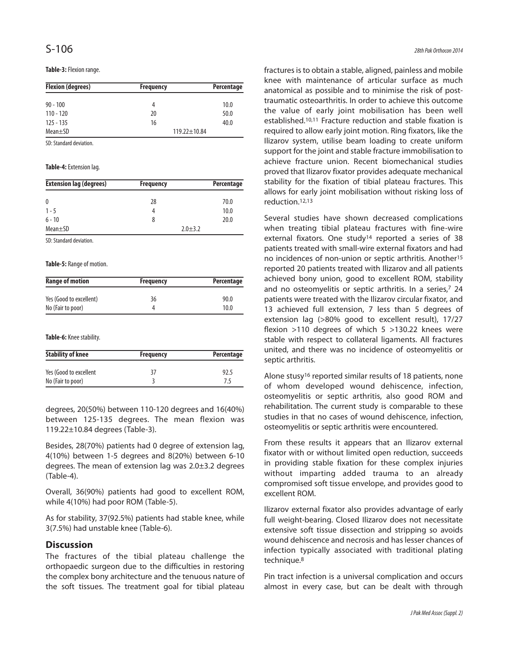**Table-3:** Flexion range.

| <b>Flexion (degrees)</b> | <b>Frequency</b>   | Percentage |
|--------------------------|--------------------|------------|
| $90 - 100$               | 4                  | 10.0       |
| $110 - 120$              | 20                 | 50.0       |
| $125 - 135$              | 16                 | 40.0       |
| $Mean \pm SD$            | $119.22 \pm 10.84$ |            |

SD: Standard deviation.

#### **Table-4:** Extension lag.

| <b>Extension lag (degrees)</b> | <b>Frequency</b> | Percentage |
|--------------------------------|------------------|------------|
| 0                              | 28               | 70.0       |
| $1 - 5$                        |                  | 10.0       |
| $6 - 10$                       |                  | 20.0       |
| $Mean + SD$                    | $2.0 + 3.2$      |            |

SD: Standard deviation.

**Table-5:** Range of motion.

| <b>Range of motion</b>  | <b>Frequency</b> | Percentage |  |
|-------------------------|------------------|------------|--|
|                         |                  |            |  |
| Yes (Good to excellent) | 36               | 90.0       |  |
| No (Fair to poor)       |                  | 10.0       |  |

**Table-6:** Knee stability.

| <b>Stability of knee</b> | <b>Frequency</b> | Percentage |
|--------------------------|------------------|------------|
| Yes (Good to excellent   | 37               | 92.5       |
| No (Fair to poor)        |                  | 75         |

degrees, 20(50%) between 110-120 degrees and 16(40%) between 125-135 degrees. The mean flexion was 119.22±10.84 degrees (Table-3).

Besides, 28(70%) patients had 0 degree of extension lag, 4(10%) between 1-5 degrees and 8(20%) between 6-10 degrees. The mean of extension lag was 2.0±3.2 degrees (Table-4).

Overall, 36(90%) patients had good to excellent ROM, while 4(10%) had poor ROM (Table-5).

As for stability, 37(92.5%) patients had stable knee, while 3(7.5%) had unstable knee (Table-6).

### **Discussion**

The fractures of the tibial plateau challenge the orthopaedic surgeon due to the difficulties in restoring the complex bony architecture and the tenuous nature of the soft tissues. The treatment goal for tibial plateau fractures is to obtain a stable, aligned, painless and mobile knee with maintenance of articular surface as much anatomical as possible and to minimise the risk of posttraumatic osteoarthritis. In order to achieve this outcome the value of early joint mobilisation has been well established.10,11 Fracture reduction and stable fixation is required to allow early joint motion. Ring fixators, like the Ilizarov system, utilise beam loading to create uniform support for the joint and stable fracture immobilisation to achieve fracture union. Recent biomechanical studies proved that Ilizarov fixator provides adequate mechanical stability for the fixation of tibial plateau fractures. This allows for early joint mobilisation without risking loss of reduction.12,13

Several studies have shown decreased complications when treating tibial plateau fractures with fine-wire external fixators. One study<sup>14</sup> reported a series of 38 patients treated with small-wire external fixators and had no incidences of non-union or septic arthritis. Another<sup>15</sup> reported 20 patients treated with Ilizarov and all patients achieved bony union, good to excellent ROM, stability and no osteomyelitis or septic arthritis. In a series,<sup>7</sup> 24 patients were treated with the Ilizarov circular fixator, and 13 achieved full extension, 7 less than 5 degrees of extension lag (>80% good to excellent result), 17/27 flexion >110 degrees of which 5 >130.22 knees were stable with respect to collateral ligaments. All fractures united, and there was no incidence of osteomyelitis or septic arthritis.

Alone stusy<sup>16</sup> reported similar results of 18 patients, none of whom developed wound dehiscence, infection, osteomyelitis or septic arthritis, also good ROM and rehabilitation. The current study is comparable to these studies in that no cases of wound dehiscence, infection, osteomyelitis or septic arthritis were encountered.

From these results it appears that an Ilizarov external fixator with or without limited open reduction, succeeds in providing stable fixation for these complex injuries without imparting added trauma to an already compromised soft tissue envelope, and provides good to excellent ROM.

Ilizarov external fixator also provides advantage of early full weight-bearing. Closed Ilizarov does not necessitate extensive soft tissue dissection and stripping so avoids wound dehiscence and necrosis and has lesser chances of infection typically associated with traditional plating technique.<sup>8</sup>

Pin tract infection is a universal complication and occurs almost in every case, but can be dealt with through